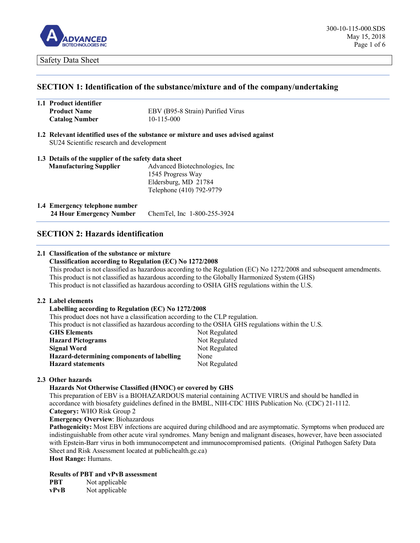

## **SECTION 1: Identification of the substance/mixture and of the company/undertaking**

| 1.1 Product identifier |                                   |
|------------------------|-----------------------------------|
| <b>Product Name</b>    | EBV (B95-8 Strain) Purified Virus |
| <b>Catalog Number</b>  | $10 - 115 - 000$                  |

**1.2 Relevant identified uses of the substance or mixture and uses advised against** SU24 Scientific research and development

|                               | 1.3 Details of the supplier of the safety data sheet |  |
|-------------------------------|------------------------------------------------------|--|
| <b>Manufacturing Supplier</b> | Advanced Biotechnologies, Inc.                       |  |
|                               | 1545 Progress Way                                    |  |
|                               | Eldersburg, MD 21784                                 |  |
|                               | Telephone (410) 792-9779                             |  |

**1.4 Emergency telephone number 24 Hour Emergency Number** ChemTel, Inc 1-800-255-3924

# **SECTION 2: Hazards identification**

# **2.1 Classification of the substance or mixture**

## **Classification according to Regulation (EC) No 1272/2008**

This product is not classified as hazardous according to the Regulation (EC) No 1272/2008 and subsequent amendments. This product is not classified as hazardous according to the Globally Harmonized System (GHS) This product is not classified as hazardous according to OSHA GHS regulations within the U.S.

### **2.2 Label elements**

## **Labelling according to Regulation (EC) No 1272/2008**

| This product does not have a classification according to the CLP regulation.                      |               |  |
|---------------------------------------------------------------------------------------------------|---------------|--|
| This product is not classified as hazardous according to the OSHA GHS regulations within the U.S. |               |  |
| Not Regulated<br><b>GHS Elements</b>                                                              |               |  |
| <b>Hazard Pictograms</b>                                                                          | Not Regulated |  |
| <b>Signal Word</b>                                                                                | Not Regulated |  |
| Hazard-determining components of labelling                                                        | None          |  |
| <b>Hazard statements</b>                                                                          | Not Regulated |  |

### **2.3 Other hazards**

### **Hazards Not Otherwise Classified (HNOC) or covered by GHS**

This preparation of EBV is a BIOHAZARDOUS material containing ACTIVE VIRUS and should be handled in accordance with biosafety guidelines defined in the BMBL, NIH-CDC HHS Publication No. (CDC) 21-1112. **Category:** WHO Risk Group 2

**Emergency Overview**: Biohazardous

**Pathogenicity:** Most EBV infections are acquired during childhood and are asymptomatic. Symptoms when produced are indistinguishable from other acute viral syndromes. Many benign and malignant diseases, however, have been associated with Epstein-Barr virus in both immunocompetent and immunocompromised patients. (Original Pathogen Safety Data Sheet and Risk Assessment located at publichealth.gc.ca)

**Host Range:** Humans.

## **Results of PBT and vPvB assessment**

**PBT** Not applicable **vPvB** Not applicable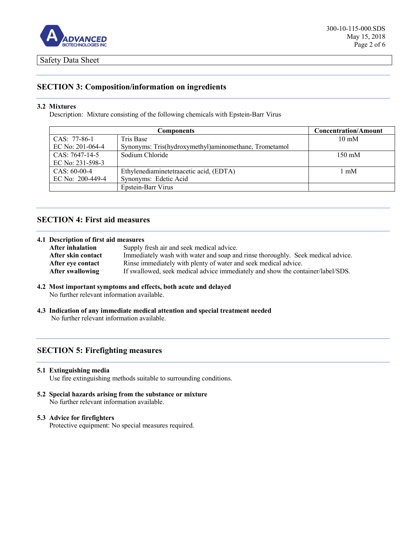

# **SECTION 3: Composition/information on ingredients**

## **3.2 Mixtures**

Description: Mixture consisting of the following chemicals with Epstein-Barr Virus

| Components       |                                                       | <b>Concentration/Amount</b> |
|------------------|-------------------------------------------------------|-----------------------------|
| CAS: 77-86-1     | Tris Base                                             | $10 \text{ mM}$             |
| EC No: 201-064-4 | Synonyms: Tris(hydroxymethyl)aminomethane, Trometamol |                             |
| $CAS: 7647-14-5$ | Sodium Chloride                                       | $150 \text{ mM}$            |
| EC No: 231-598-3 |                                                       |                             |
| $CAS: 60-00-4$   | Ethylenediaminetetraacetic acid, (EDTA)               | 1 mM                        |
| EC No: 200-449-4 | Synonyms: Edetic Acid                                 |                             |
|                  | Epstein-Barr Virus                                    |                             |

# **SECTION 4: First aid measures**

### **4.1 Description of first aid measures**

| <b>After inhalation</b> | Supply fresh air and seek medical advice.                                       |
|-------------------------|---------------------------------------------------------------------------------|
| After skin contact      | Immediately wash with water and soap and rinse thoroughly. Seek medical advice. |
| After eve contact       | Rinse immediately with plenty of water and seek medical advice.                 |
| After swallowing        | If swallowed, seek medical advice immediately and show the container/label/SDS. |

## **4.2 Most important symptoms and effects, both acute and delayed**

No further relevant information available.

**4.3 Indication of any immediate medical attention and special treatment needed** No further relevant information available.

# **SECTION 5: Firefighting measures**

### **5.1 Extinguishing media**

Use fire extinguishing methods suitable to surrounding conditions.

**5.2 Special hazards arising from the substance or mixture**  No further relevant information available.

## **5.3 Advice for firefighters**

Protective equipment: No special measures required.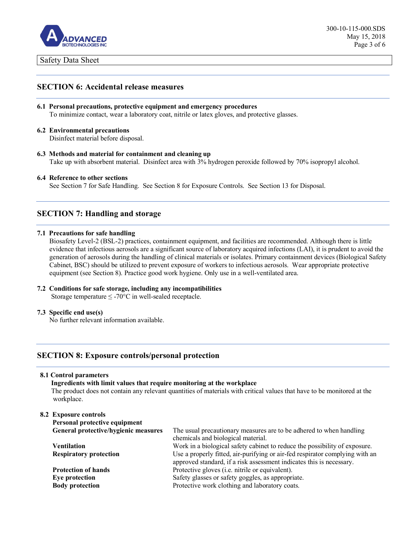

# **SECTION 6: Accidental release measures**

- **6.1 Personal precautions, protective equipment and emergency procedures** To minimize contact, wear a laboratory coat, nitrile or latex gloves, and protective glasses.
- **6.2 Environmental precautions**

Disinfect material before disposal.

**6.3 Methods and material for containment and cleaning up** Take up with absorbent material. Disinfect area with 3% hydrogen peroxide followed by 70% isopropyl alcohol.

## **6.4 Reference to other sections**

See Section 7 for Safe Handling. See Section 8 for Exposure Controls. See Section 13 for Disposal.

# **SECTION 7: Handling and storage**

## **7.1 Precautions for safe handling**

Biosafety Level-2 (BSL-2) practices, containment equipment, and facilities are recommended. Although there is little evidence that infectious aerosols are a significant source of laboratory acquired infections (LAI), it is prudent to avoid the generation of aerosols during the handling of clinical materials or isolates. Primary containment devices (Biological Safety Cabinet, BSC) should be utilized to prevent exposure of workers to infectious aerosols. Wear appropriate protective equipment (see Section 8). Practice good work hygiene. Only use in a well-ventilated area.

## **7.2 Conditions for safe storage, including any incompatibilities**

Storage temperature  $\leq$  -70°C in well-sealed receptacle.

### **7.3 Specific end use(s)**

No further relevant information available.

# **SECTION 8: Exposure controls/personal protection**

### **8.1 Control parameters**

### **Ingredients with limit values that require monitoring at the workplace**

The product does not contain any relevant quantities of materials with critical values that have to be monitored at the workplace.

## **8.2 Exposure controls Personal protective equipment General protective/hygienic measures** The usual precautionary measures are to be adhered to when handling chemicals and biological material. **Ventilation** Work in a biological safety cabinet to reduce the possibility of exposure. **Respiratory protection** Use a properly fitted, air-purifying or air-fed respirator complying with an approved standard, if a risk assessment indicates this is necessary. **Protection of hands** Protective gloves (i.e. nitrile or equivalent). **Eye protection Safety glasses or safety goggles, as appropriate. Body protection Protective work clothing and laboratory coats.**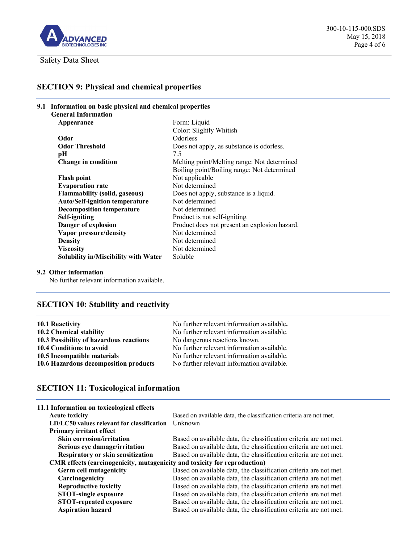

# **SECTION 9: Physical and chemical properties**

| 9.1 Information on basic physical and chemical properties |                                               |  |  |
|-----------------------------------------------------------|-----------------------------------------------|--|--|
| <b>General Information</b>                                |                                               |  |  |
| Appearance                                                | Form: Liquid                                  |  |  |
|                                                           | Color: Slightly Whitish                       |  |  |
| Odor                                                      | <b>Odorless</b>                               |  |  |
| <b>Odor Threshold</b>                                     | Does not apply, as substance is odorless.     |  |  |
| pН                                                        | 7.5                                           |  |  |
| <b>Change in condition</b>                                | Melting point/Melting range: Not determined   |  |  |
|                                                           | Boiling point/Boiling range: Not determined   |  |  |
| <b>Flash point</b>                                        | Not applicable                                |  |  |
| <b>Evaporation rate</b>                                   | Not determined                                |  |  |
| <b>Flammability (solid, gaseous)</b>                      | Does not apply, substance is a liquid.        |  |  |
| <b>Auto/Self-ignition temperature</b>                     | Not determined                                |  |  |
| <b>Decomposition temperature</b>                          | Not determined                                |  |  |
| Self-igniting                                             | Product is not self-igniting.                 |  |  |
| Danger of explosion                                       | Product does not present an explosion hazard. |  |  |
| Vapor pressure/density                                    | Not determined                                |  |  |
| <b>Density</b>                                            | Not determined                                |  |  |
| <b>Viscosity</b>                                          | Not determined                                |  |  |
| <b>Solubility in/Miscibility with Water</b>               | Soluble                                       |  |  |

## **9.2 Other information**

No further relevant information available.

# **SECTION 10: Stability and reactivity**

| 10.1 Reactivity                         | No further relevant information available. |
|-----------------------------------------|--------------------------------------------|
| 10.2 Chemical stability                 | No further relevant information available. |
| 10.3 Possibility of hazardous reactions | No dangerous reactions known.              |
| 10.4 Conditions to avoid                | No further relevant information available. |
| 10.5 Incompatible materials             | No further relevant information available. |
| 10.6 Hazardous decomposition products   | No further relevant information available. |

# **SECTION 11: Toxicological information**

| Based on available data, the classification criteria are not met.<br><b>Acute toxicity</b><br>Unknown<br>LD/LC50 values relevant for classification<br><b>Primary irritant effect</b> |
|---------------------------------------------------------------------------------------------------------------------------------------------------------------------------------------|
|                                                                                                                                                                                       |
|                                                                                                                                                                                       |
|                                                                                                                                                                                       |
| <b>Skin corrosion/irritation</b><br>Based on available data, the classification criteria are not met.                                                                                 |
| Based on available data, the classification criteria are not met.<br>Serious eye damage/irritation                                                                                    |
| <b>Respiratory or skin sensitization</b><br>Based on available data, the classification criteria are not met.                                                                         |
| CMR effects (carcinogenicity, mutagenicity and toxicity for reproduction)                                                                                                             |
| Based on available data, the classification criteria are not met.<br>Germ cell mutagenicity                                                                                           |
| Carcinogenicity<br>Based on available data, the classification criteria are not met.                                                                                                  |
| Based on available data, the classification criteria are not met.<br><b>Reproductive toxicity</b>                                                                                     |
| <b>STOT-single exposure</b><br>Based on available data, the classification criteria are not met.                                                                                      |
| <b>STOT-repeated exposure</b><br>Based on available data, the classification criteria are not met.                                                                                    |
| <b>Aspiration hazard</b><br>Based on available data, the classification criteria are not met.                                                                                         |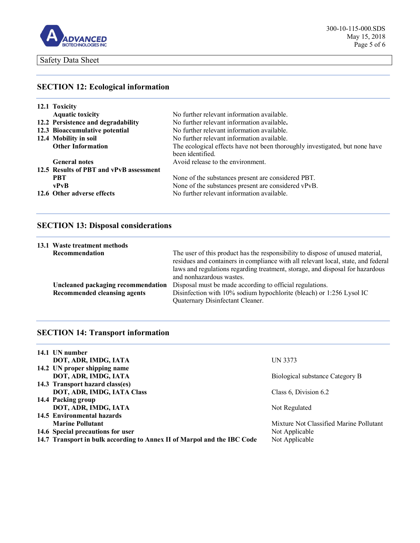

# **SECTION 12: Ecological information**

| 12.1 Toxicity                           |                                                                             |
|-----------------------------------------|-----------------------------------------------------------------------------|
| <b>Aquatic toxicity</b>                 | No further relevant information available.                                  |
| 12.2 Persistence and degradability      | No further relevant information available.                                  |
| 12.3 Bioaccumulative potential          | No further relevant information available.                                  |
| 12.4 Mobility in soil                   | No further relevant information available.                                  |
| <b>Other Information</b>                | The ecological effects have not been thoroughly investigated, but none have |
|                                         | been identified.                                                            |
| <b>General notes</b>                    | Avoid release to the environment.                                           |
| 12.5 Results of PBT and vPvB assessment |                                                                             |
| <b>PRT</b>                              | None of the substances present are considered PBT.                          |
| vPvB                                    | None of the substances present are considered vPvB.                         |
| 12.6 Other adverse effects              | No further relevant information available.                                  |

# **SECTION 13: Disposal considerations**

|                | 13.1 Waste treatment methods                                       |                                                                                                                                                                                                                                                                                  |
|----------------|--------------------------------------------------------------------|----------------------------------------------------------------------------------------------------------------------------------------------------------------------------------------------------------------------------------------------------------------------------------|
| Recommendation |                                                                    | The user of this product has the responsibility to dispose of unused material,<br>residues and containers in compliance with all relevant local, state, and federal<br>laws and regulations regarding treatment, storage, and disposal for hazardous<br>and nonhazardous wastes. |
|                | Uncleaned packaging recommendation<br>Recommended cleansing agents | Disposal must be made according to official regulations.<br>Disinfection with 10% sodium hypochlorite (bleach) or 1:256 Lysol IC                                                                                                                                                 |
|                |                                                                    | Quaternary Disinfectant Cleaner.                                                                                                                                                                                                                                                 |

# **SECTION 14: Transport information**

| 14.1 UN number                                                          |                                         |
|-------------------------------------------------------------------------|-----------------------------------------|
| DOT, ADR, IMDG, IATA                                                    | UN 3373                                 |
| 14.2 UN proper shipping name                                            |                                         |
| DOT, ADR, IMDG, IATA                                                    | Biological substance Category B         |
| 14.3 Transport hazard class(es)                                         |                                         |
| DOT, ADR, IMDG, IATA Class                                              | Class 6, Division 6.2                   |
| 14.4 Packing group                                                      |                                         |
| DOT, ADR, IMDG, IATA                                                    | Not Regulated                           |
| 14.5 Environmental hazards                                              |                                         |
| <b>Marine Pollutant</b>                                                 | Mixture Not Classified Marine Pollutant |
| 14.6 Special precautions for user                                       | Not Applicable                          |
| 14.7 Transport in bulk according to Annex II of Marpol and the IBC Code | Not Applicable                          |